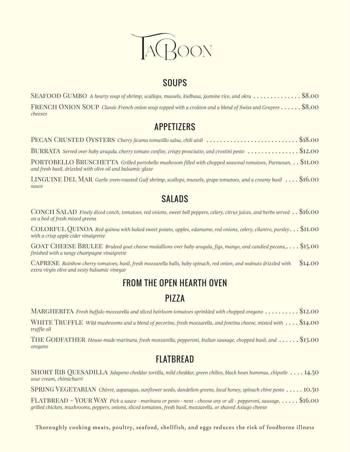

### SOUPS

| SEAFOOD GUMBO A hearty soup of shrimp, scallops, mussels, kielbasa, jasmine rice, and okra \$8.00                                    |  |
|--------------------------------------------------------------------------------------------------------------------------------------|--|
| FRENCH ONION SOUP Classic French onion soup topped with a croûton and a blend of Swiss and Gruyere $\ldots \ldots$ \$8.00<br>cheeses |  |

### APPETIZERS

| PECAN CRUSTED OYSTERS Cherry jicama tomatillo salsa, chili aioli \$18.00                                                                                                  |
|---------------------------------------------------------------------------------------------------------------------------------------------------------------------------|
| BURRATA Served over baby arugula, cherry tomato confite, crispy prosciutto, and crostini pesto \$12.00                                                                    |
| PORTOBELLO BRUSCHETTA Grilled portobello mushroom filled with chopped seasonal tomatoes, Parmesan, \$11.00<br>and fresh basil, drizzled with olive oil and balsamic glaze |
| LINGUINE DEL MAR Garlic oven-roasted Gulf shrimp, scallons, mussels, arane tomatoes, and a creamy hasil , \$16.00                                                         |

shrimp, scallops, mussels, grape tomatoes, and a cre *sauce*

## SALADS

CONCH SALAD Finely diced conch, tomatoes, red onions, sweet bell peppers, celery, citrus juices, and herbs served . . \$16.00 *on a bed of fresh mixed greens*

Colorful Quinoa *Red quinoa with baked sweet potato, apples, edamame, red onions, celery, cilantro, parsley* . . . \$11.00 *with a crisp apple cider vinaigrette*

GOAT CHEESE BRULEE Bruleed goat cheese medallions over baby arugula, figs, mango, and candied pecans,.... \$15.00 *finished with a tangy champagne vinaigrette*

Caprese *Rainbow cherry tomatoes, basil, fresh mozzarella balls, baby spinach, red onion, and walnuts drizzled with* \$14.00 *extra virgin olive and zesty balsamic vinegar*

# FROM THE OPEN HEARTH OVEN

### PIZZA

| MARGHERITA Fresh buffalo mozzarella and sliced heirloom tomatoes sprinkled with chopped oregano \$12.00                  |  |
|--------------------------------------------------------------------------------------------------------------------------|--|
| WHITE TRUFFLE Wild mushrooms and a blend of pecorino, fresh mozzarella, and fontina cheese, misted with $\ldots$ \$14.00 |  |
| truffle oil                                                                                                              |  |

THE GODFATHER House-made marinara, fresh mozzarella, pepperoni, Italian sausage, chopped basil, and  $\dots \dots$ \$13.00 *oregano*

# FLATBREAD

SHORT RIB QUESADILLA *Jalapeno cheddar tortilla, mild cheddar, green chilies, black bean hummus, chipotle* . . . . 14.50 *sour cream, chimichurri*

SPRING VEGETARIAN Chèvre, asparagus, sunflower seeds, dandelion greens, local honey, spinach chive pesto . . . . . 10.50

Flatbread - Your Way *Pick a sauce - marinara or pesto - next - choose any or all - pepperoni, sausage,* . . . . . \$16.00 *grilled chicken, mushrooms, peppers, onions, sliced tomatoes, fresh basil, mozzarella, or shaved Asiago cheese*

Thoroughly cooking meats, poultry, seafood, shellfish, and eggs reduces the risk of foodborne illness